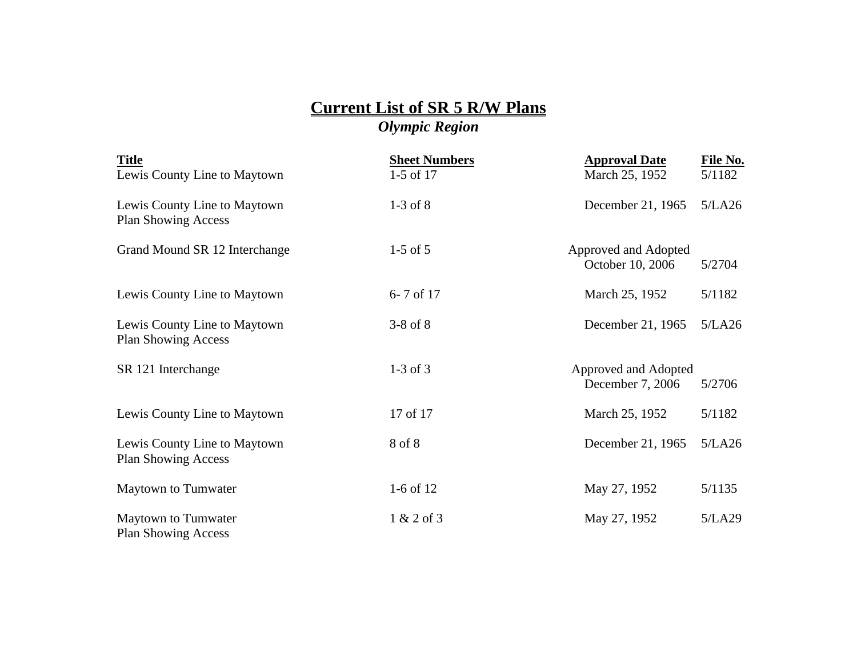## **Current List of SR 5 R/W Plans** *Olympic Region*

| <b>Title</b>                                               | <b>Sheet Numbers</b> | <b>Approval Date</b>                     | File No. |
|------------------------------------------------------------|----------------------|------------------------------------------|----------|
| Lewis County Line to Maytown                               | $1-5$ of 17          | March 25, 1952                           | 5/1182   |
| Lewis County Line to Maytown<br><b>Plan Showing Access</b> | $1-3$ of $8$         | December 21, 1965                        | 5/LA26   |
| Grand Mound SR 12 Interchange                              | $1-5$ of $5$         | Approved and Adopted<br>October 10, 2006 | 5/2704   |
| Lewis County Line to Maytown                               | 6-7 of 17            | March 25, 1952                           | 5/1182   |
| Lewis County Line to Maytown<br><b>Plan Showing Access</b> | $3-8$ of $8$         | December 21, 1965                        | 5/LA26   |
| SR 121 Interchange                                         | $1-3$ of $3$         | Approved and Adopted<br>December 7, 2006 | 5/2706   |
| Lewis County Line to Maytown                               | 17 of 17             | March 25, 1952                           | 5/1182   |
| Lewis County Line to Maytown<br><b>Plan Showing Access</b> | 8 of 8               | December 21, 1965                        | 5/LA26   |
| Maytown to Tumwater                                        | $1-6$ of $12$        | May 27, 1952                             | 5/1135   |
| Maytown to Tumwater<br><b>Plan Showing Access</b>          | $1 & 2$ of 3         | May 27, 1952                             | 5/LA29   |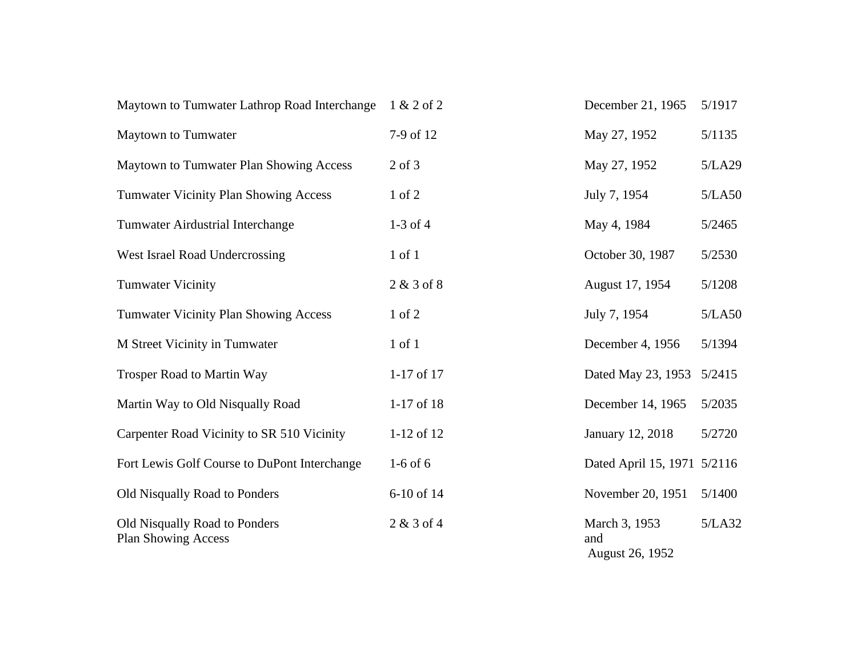| Maytown to Tumwater Lathrop Road Interchange                | 1 & 2 of 2     | December 21, 1965                       | 5/1917 |
|-------------------------------------------------------------|----------------|-----------------------------------------|--------|
| Maytown to Tumwater                                         | 7-9 of 12      | May 27, 1952                            | 5/1135 |
| Maytown to Tumwater Plan Showing Access                     | $2$ of $3$     | May 27, 1952                            | 5/LA29 |
| <b>Tumwater Vicinity Plan Showing Access</b>                | 1 of 2         | July 7, 1954                            | 5/LA50 |
| Tumwater Airdustrial Interchange                            | $1-3$ of $4$   | May 4, 1984                             | 5/2465 |
| West Israel Road Undercrossing                              | $1$ of $1$     | October 30, 1987                        | 5/2530 |
| <b>Tumwater Vicinity</b>                                    | $2 & 3$ of $8$ | August 17, 1954                         | 5/1208 |
| <b>Tumwater Vicinity Plan Showing Access</b>                | $1$ of $2$     | July 7, 1954                            | 5/LA50 |
| M Street Vicinity in Tumwater                               | $1$ of $1$     | December 4, 1956                        | 5/1394 |
| <b>Trosper Road to Martin Way</b>                           | 1-17 of 17     | Dated May 23, 1953                      | 5/2415 |
| Martin Way to Old Nisqually Road                            | 1-17 of 18     | December 14, 1965                       | 5/2035 |
| Carpenter Road Vicinity to SR 510 Vicinity                  | 1-12 of 12     | January 12, 2018                        | 5/2720 |
| Fort Lewis Golf Course to DuPont Interchange                | $1-6$ of 6     | Dated April 15, 1971 5/2116             |        |
| Old Nisqually Road to Ponders                               | 6-10 of 14     | November 20, 1951                       | 5/1400 |
| Old Nisqually Road to Ponders<br><b>Plan Showing Access</b> | $2 & 3$ of 4   | March 3, 1953<br>and<br>August 26, 1952 | 5/LA32 |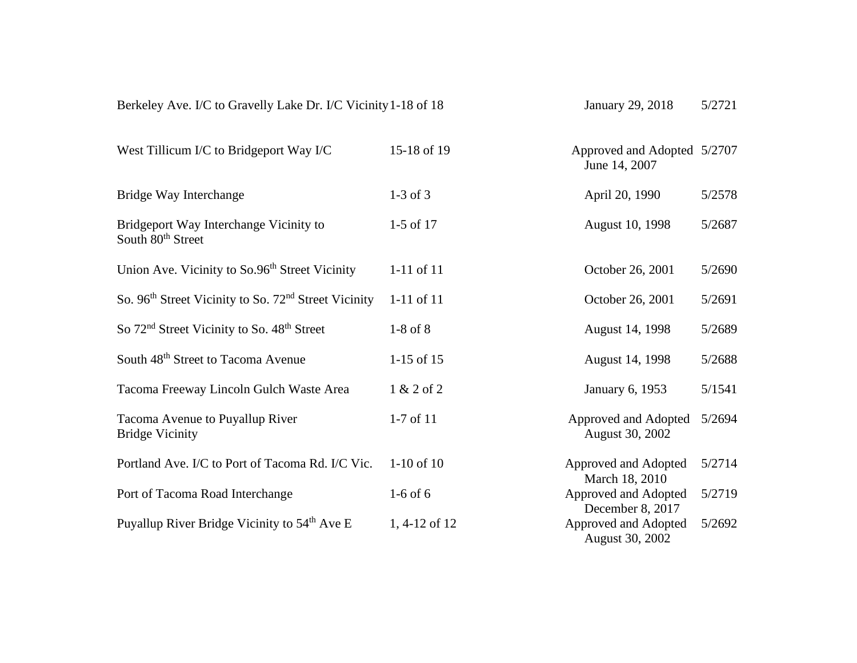| Berkeley Ave. I/C to Gravelly Lake Dr. I/C Vicinity 1-18 of 18               |                | January 29, 2018                             | 5/2721 |
|------------------------------------------------------------------------------|----------------|----------------------------------------------|--------|
| West Tillicum I/C to Bridgeport Way I/C                                      | 15-18 of 19    | Approved and Adopted 5/2707<br>June 14, 2007 |        |
| Bridge Way Interchange                                                       | $1-3$ of $3$   | April 20, 1990                               | 5/2578 |
| Bridgeport Way Interchange Vicinity to<br>South 80 <sup>th</sup> Street      | $1-5$ of 17    | August 10, 1998                              | 5/2687 |
| Union Ave. Vicinity to So.96 <sup>th</sup> Street Vicinity                   | $1-11$ of $11$ | October 26, 2001                             | 5/2690 |
| So. 96 <sup>th</sup> Street Vicinity to So. 72 <sup>nd</sup> Street Vicinity | 1-11 of 11     | October 26, 2001                             | 5/2691 |
| So 72 <sup>nd</sup> Street Vicinity to So. 48 <sup>th</sup> Street           | $1-8$ of $8$   | August 14, 1998                              | 5/2689 |
| South 48 <sup>th</sup> Street to Tacoma Avenue                               | $1-15$ of 15   | August 14, 1998                              | 5/2688 |
| Tacoma Freeway Lincoln Gulch Waste Area                                      | 1 & 2 of 2     | January 6, 1953                              | 5/1541 |
| Tacoma Avenue to Puyallup River<br><b>Bridge Vicinity</b>                    | $1-7$ of $11$  | Approved and Adopted<br>August 30, 2002      | 5/2694 |
| Portland Ave. I/C to Port of Tacoma Rd. I/C Vic.                             | $1-10$ of $10$ | Approved and Adopted<br>March 18, 2010       | 5/2714 |
| Port of Tacoma Road Interchange                                              | $1-6$ of 6     | Approved and Adopted<br>December 8, 2017     | 5/2719 |
| Puyallup River Bridge Vicinity to 54 <sup>th</sup> Ave E                     | 1, 4-12 of 12  | Approved and Adopted<br>August 30, 2002      | 5/2692 |
|                                                                              |                |                                              |        |